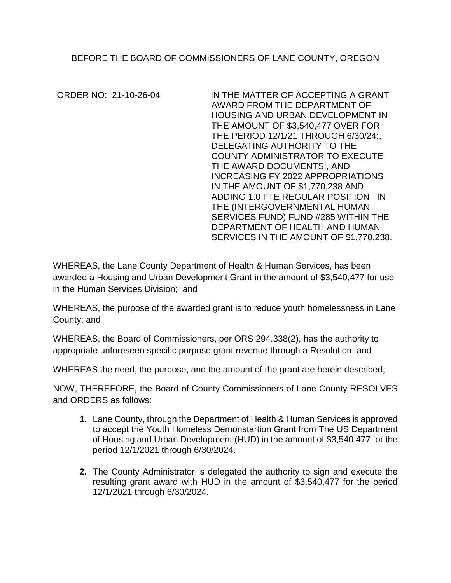BEFORE THE BOARD OF COMMISSIONERS OF LANE COUNTY, OREGON

ORDER NO: 21-10-26-04 IN THE MATTER OF ACCEPTING A GRANT AWARD FROM THE DEPARTMENT OF HOUSING AND URBAN DEVELOPMENT IN THE AMOUNT OF \$3,540,477 OVER FOR THE PERIOD 12/1/21 THROUGH 6/30/24;, DELEGATING AUTHORITY TO THE COUNTY ADMINISTRATOR TO EXECUTE THE AWARD DOCUMENTS;, AND INCREASING FY 2022 APPROPRIATIONS IN THE AMOUNT OF \$1,770,238 AND ADDING 1.0 FTE REGULAR POSITION IN THE (INTERGOVERNMENTAL HUMAN SERVICES FUND) FUND #285 WITHIN THE DEPARTMENT OF HEALTH AND HUMAN SERVICES IN THE AMOUNT OF \$1,770,238.

WHEREAS, the Lane County Department of Health & Human Services, has been awarded a Housing and Urban Development Grant in the amount of \$3,540,477 for use in the Human Services Division; and

WHEREAS, the purpose of the awarded grant is to reduce youth homelessness in Lane County; and

WHEREAS, the Board of Commissioners, per ORS 294.338(2), has the authority to appropriate unforeseen specific purpose grant revenue through a Resolution; and

WHEREAS the need, the purpose, and the amount of the grant are herein described;

NOW, THEREFORE, the Board of County Commissioners of Lane County RESOLVES and ORDERS as follows:

- **1.** Lane County, through the Department of Health & Human Services is approved to accept the Youth Homeless Demonstartion Grant from The US Department of Housing and Urban Development (HUD) in the amount of \$3,540,477 for the period 12/1/2021 through 6/30/2024.
- **2.** The County Administrator is delegated the authority to sign and execute the resulting grant award with HUD in the amount of \$3,540,477 for the period 12/1/2021 through 6/30/2024.